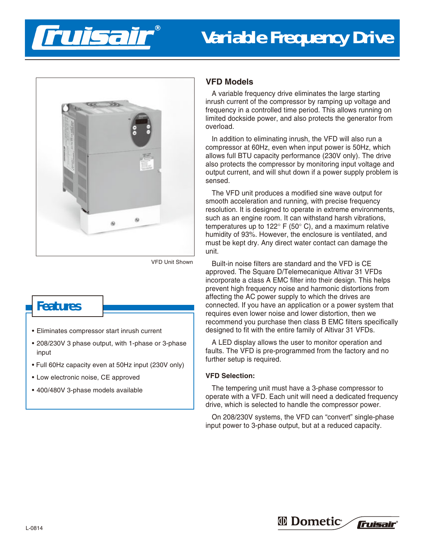



VFD Unit Shown

# **Features**

- Eliminates compressor start inrush current
- 208/230V 3 phase output, with 1-phase or 3-phase input
- Full 60Hz capacity even at 50Hz input (230V only)
- Low electronic noise, CE approved
- 400/480V 3-phase models available

## **VFD Models**

A variable frequency drive eliminates the large starting inrush current of the compressor by ramping up voltage and frequency in a controlled time period. This allows running on limited dockside power, and also protects the generator from overload.

In addition to eliminating inrush, the VFD will also run a compressor at 60Hz, even when input power is 50Hz, which allows full BTU capacity performance (230V only). The drive also protects the compressor by monitoring input voltage and output current, and will shut down if a power supply problem is sensed.

The VFD unit produces a modified sine wave output for smooth acceleration and running, with precise frequency resolution. It is designed to operate in extreme environments, such as an engine room. It can withstand harsh vibrations, temperatures up to  $122^{\circ}$  F (50 $^{\circ}$  C), and a maximum relative humidity of 93%. However, the enclosure is ventilated, and must be kept dry. Any direct water contact can damage the unit.

Built-in noise filters are standard and the VFD is CE approved. The Square D/Telemecanique Altivar 31 VFDs incorporate a class A EMC filter into their design. This helps prevent high frequency noise and harmonic distortions from affecting the AC power supply to which the drives are connected. If you have an application or a power system that requires even lower noise and lower distortion, then we recommend you purchase then class B EMC filters specifically designed to fit with the entire family of Altivar 31 VFDs.

A LED display allows the user to monitor operation and faults. The VFD is pre-programmed from the factory and no further setup is required.

### **VFD Selection:**

The tempering unit must have a 3-phase compressor to operate with a VFD. Each unit will need a dedicated frequency drive, which is selected to handle the compressor power.

On 208/230V systems, the VFD can "convert" single-phase input power to 3-phase output, but at a reduced capacity.